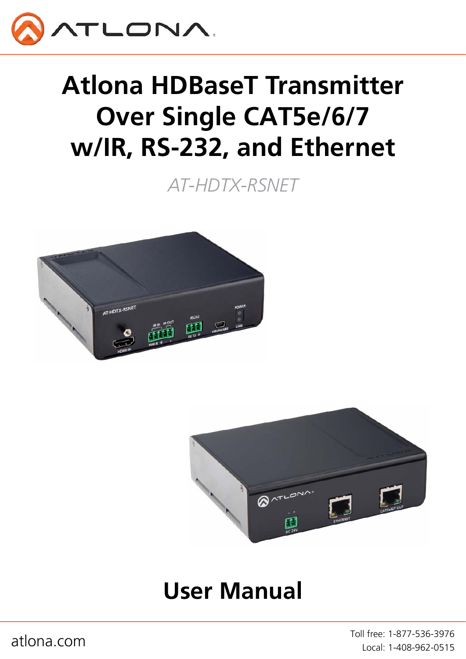

# **Atlona HDBaseT Transmitter Over Single CAT5e/6/7 w/IR, RS-232, and Ethernet**

*AT-HDTX-RSNET*





## **User Manual**

atlona.com and the community of the test of the Toll free: 1-877-536-3976 Local: 1-408-962-0515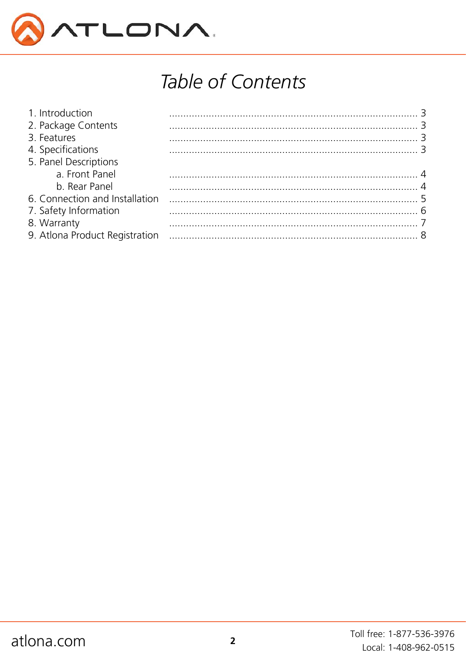

## Table of Contents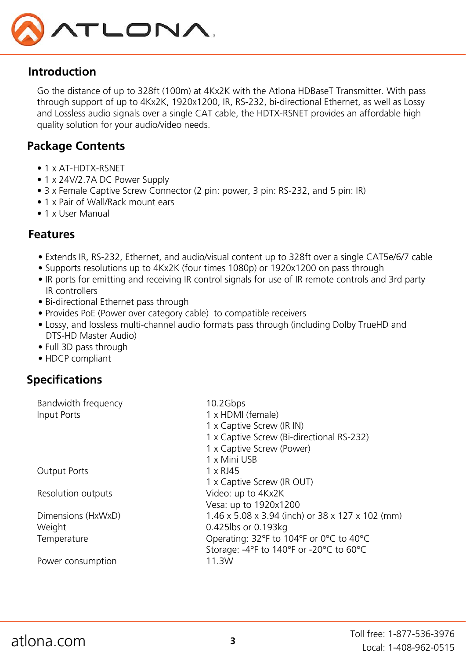

## **Introduction**

Go the distance of up to 328ft (100m) at 4Kx2K with the Atlona HDBaseT Transmitter. With pass through support of up to 4Kx2K, 1920x1200, IR, RS-232, bi-directional Ethernet, as well as Lossy and Lossless audio signals over a single CAT cable, the HDTX-RSNET provides an affordable high quality solution for your audio/video needs.

## **Package Contents**

- 1 x AT-HDTX-RSNFT
- 1 x 24V/2.7A DC Power Supply
- 3 x Female Captive Screw Connector (2 pin: power, 3 pin: RS-232, and 5 pin: IR)
- 1 x Pair of Wall/Rack mount ears
- 1 x User Manual

## **Features**

- Extends IR, RS-232, Ethernet, and audio/visual content up to 328ft over a single CAT5e/6/7 cable
- Supports resolutions up to 4Kx2K (four times 1080p) or 1920x1200 on pass through
- IR ports for emitting and receiving IR control signals for use of IR remote controls and 3rd party IR controllers
- Bi-directional Ethernet pass through
- Provides PoE (Power over category cable) to compatible receivers
- Lossy, and lossless multi-channel audio formats pass through (including Dolby TrueHD and DTS-HD Master Audio)
- Full 3D pass through
- HDCP compliant

## **Specifications**

| 1 x Captive Screw (Bi-directional RS-232)        |
|--------------------------------------------------|
|                                                  |
|                                                  |
|                                                  |
|                                                  |
|                                                  |
|                                                  |
| 1.46 x 5.08 x 3.94 (inch) or 38 x 127 x 102 (mm) |
|                                                  |
| Operating: 32°F to 104°F or 0°C to 40°C          |
| Storage: -4°F to 140°F or -20°C to 60°C          |
|                                                  |
|                                                  |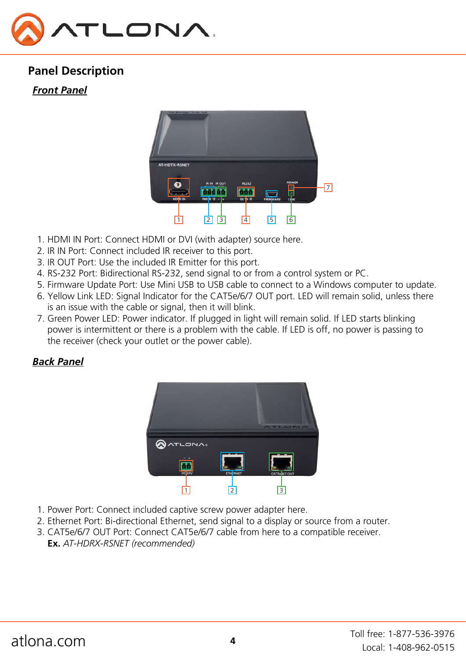

## **Panel Description**

#### *Front Panel*



- 1. HDMI IN Port: Connect HDMI or DVI (with adapter) source here.
- 2. IR IN Port: Connect included IR receiver to this port.
- 3. IR OUT Port: Use the included IR Emitter for this port.
- 4. RS-232 Port: Bidirectional RS-232, send signal to or from a control system or PC.
- 5. Firmware Update Port: Use Mini USB to USB cable to connect to a Windows computer to update.
- 6. Yellow Link LED: Signal Indicator for the CAT5e/6/7 OUT port. LED will remain solid, unless there is an issue with the cable or signal, then it will blink.
- 7. Green Power LED: Power indicator. If plugged in light will remain solid. If LED starts blinking power is intermittent or there is a problem with the cable. If LED is off, no power is passing to the receiver (check your outlet or the power cable).

## *Back Panel*



- 1. Power Port: Connect included captive screw power adapter here.
- 2. Ethernet Port: Bi-directional Ethernet, send signal to a display or source from a router.
- 3. CAT5e/6/7 OUT Port: Connect CAT5e/6/7 cable from here to a compatible receiver. **Ex.** *AT-HDRX-RSNET (recommended)*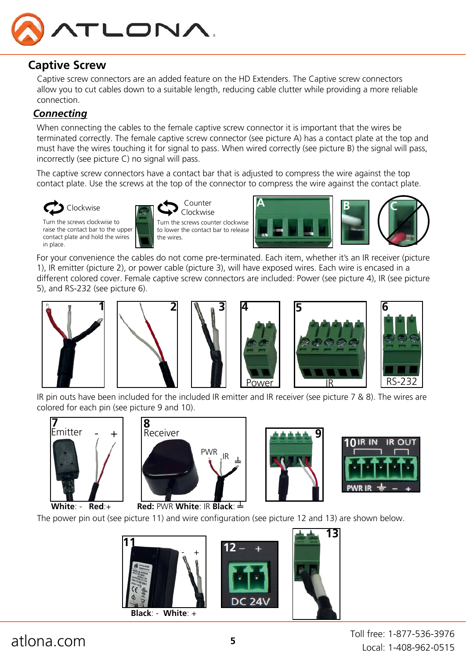

## **Captive Screw**

Captive screw connectors are an added feature on the HD Extenders. The Captive screw connectors allow you to cut cables down to a suitable length, reducing cable clutter while providing a more reliable connection.

### *Connecting*

When connecting the cables to the female captive screw connector it is important that the wires be terminated correctly. The female captive screw connector (see picture A) has a contact plate at the top and must have the wires touching it for signal to pass. When wired correctly (see picture B) the signal will pass, incorrectly (see picture C) no signal will pass.

The captive screw connectors have a contact bar that is adjusted to compress the wire against the top contact plate. Use the screws at the top of the connector to compress the wire against the contact plate.



Turn the screws clockwise to raise the contact bar to the upper contact plate and hold the wires in place.



Clockwise Turn the screws counter clockwise to lower the contact bar to release the wires.



For your convenience the cables do not come pre-terminated. Each item, whether it's an IR receiver (picture 1), IR emitter (picture 2), or power cable (picture 3), will have exposed wires. Each wire is encased in a different colored cover. Female captive screw connectors are included: Power (see picture 4), IR (see picture 5), and RS-232 (see picture 6).











IR pin outs have been included for the included IR emitter and IR receiver (see picture 7 & 8). The wires are colored for each pin (see picture 9 and 10).









**White**: - **Red**:+

The power pin out (see picture 11) and wire configuration (see picture 12 and 13) are shown below.





**13**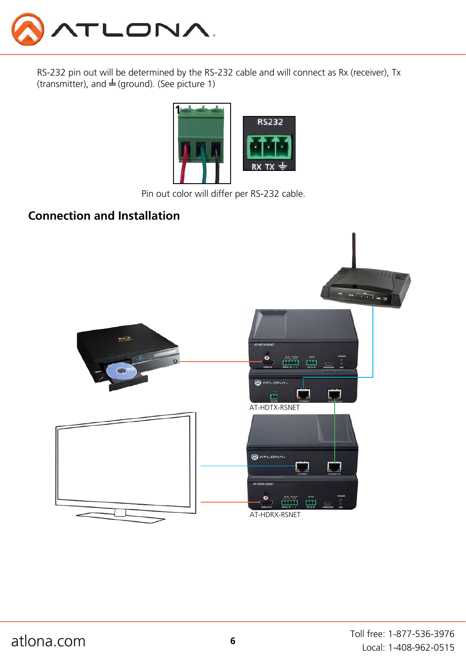

RS-232 pin out will be determined by the RS-232 cable and will connect as Rx (receiver), Tx (transmitter), and  $\stackrel{\perp}{=}$  (ground). (See picture 1)



Pin out color will differ per RS-232 cable.

## **Connection and Installation**

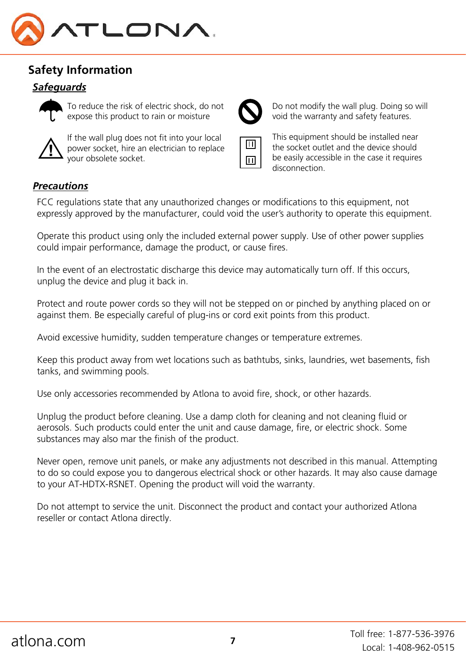

## **Safety Information**

#### *Safeguards*



To reduce the risk of electric shock, do not expose this product to rain or moisture



If the wall plug does not fit into your local power socket, hire an electrician to replace your obsolete socket.



Do not modify the wall plug. Doing so will void the warranty and safety features.



This equipment should be installed near the socket outlet and the device should be easily accessible in the case it requires disconnection.

#### *Precautions*

FCC regulations state that any unauthorized changes or modifications to this equipment, not expressly approved by the manufacturer, could void the user's authority to operate this equipment.

Operate this product using only the included external power supply. Use of other power supplies could impair performance, damage the product, or cause fires.

In the event of an electrostatic discharge this device may automatically turn off. If this occurs, unplug the device and plug it back in.

Protect and route power cords so they will not be stepped on or pinched by anything placed on or against them. Be especially careful of plug-ins or cord exit points from this product.

Avoid excessive humidity, sudden temperature changes or temperature extremes.

Keep this product away from wet locations such as bathtubs, sinks, laundries, wet basements, fish tanks, and swimming pools.

Use only accessories recommended by Atlona to avoid fire, shock, or other hazards.

Unplug the product before cleaning. Use a damp cloth for cleaning and not cleaning fluid or aerosols. Such products could enter the unit and cause damage, fire, or electric shock. Some substances may also mar the finish of the product.

Never open, remove unit panels, or make any adjustments not described in this manual. Attempting to do so could expose you to dangerous electrical shock or other hazards. It may also cause damage to your AT-HDTX-RSNET. Opening the product will void the warranty.

Do not attempt to service the unit. Disconnect the product and contact your authorized Atlona reseller or contact Atlona directly.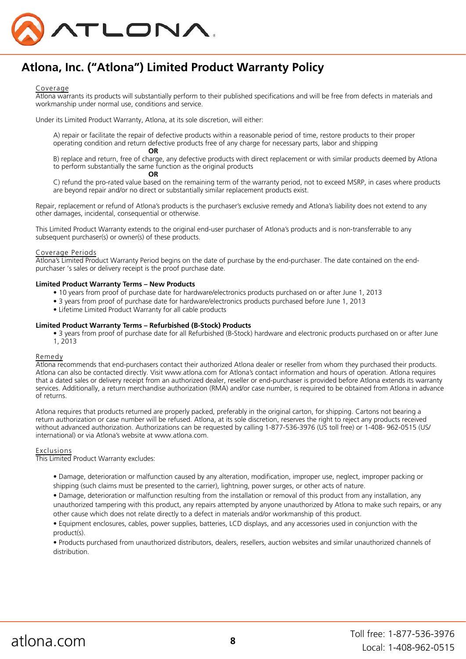

## **Atlona, Inc. ("Atlona") Limited Product Warranty Policy**

#### Coverage

Atlona warrants its products will substantially perform to their published specifications and will be free from defects in materials and workmanship under normal use, conditions and service.

Under its Limited Product Warranty, Atlona, at its sole discretion, will either:

A) repair or facilitate the repair of defective products within a reasonable period of time, restore products to their proper operating condition and return defective products free of any charge for necessary parts, labor and shipping  *OR* OR

B) replace and return, free of charge, any defective products with direct replacement or with similar products deemed by Atlona to perform substantially the same function as the original products

#### *OR* OR

C) refund the pro-rated value based on the remaining term of the warranty period, not to exceed MSRP, in cases where products are beyond repair and/or no direct or substantially similar replacement products exist.

Repair, replacement or refund of Atlona's products is the purchaser's exclusive remedy and Atlona's liability does not extend to any other damages, incidental, consequential or otherwise.

This Limited Product Warranty extends to the original end-user purchaser of Atlona's products and is non-transferrable to any subsequent purchaser(s) or owner(s) of these products.

#### Coverage Periods

Atlona's Limited Product Warranty Period begins on the date of purchase by the end-purchaser. The date contained on the endpurchaser 's sales or delivery receipt is the proof purchase date.

#### **Limited Product Warranty Terms – New Products**

- 10 years from proof of purchase date for hardware/electronics products purchased on or after June 1, 2013
- 3 years from proof of purchase date for hardware/electronics products purchased before June 1, 2013
- Lifetime Limited Product Warranty for all cable products

#### **Limited Product Warranty Terms – Refurbished (B-Stock) Products**

• 3 years from proof of purchase date for all Refurbished (B-Stock) hardware and electronic products purchased on or after June 1, 2013

#### Remedy

Atlona recommends that end-purchasers contact their authorized Atlona dealer or reseller from whom they purchased their products. Atlona can also be contacted directly. Visit www.atlona.com for Atlona's contact information and hours of operation. Atlona requires that a dated sales or delivery receipt from an authorized dealer, reseller or end-purchaser is provided before Atlona extends its warranty services. Additionally, a return merchandise authorization (RMA) and/or case number, is required to be obtained from Atlona in advance of returns.

Atlona requires that products returned are properly packed, preferably in the original carton, for shipping. Cartons not bearing a return authorization or case number will be refused. Atlona, at its sole discretion, reserves the right to reject any products received without advanced authorization. Authorizations can be requested by calling 1-877-536-3976 (US toll free) or 1-408- 962-0515 (US/ international) or via Atlona's website at www.atlona.com.

#### Exclusions

This Limited Product Warranty excludes:

- Damage, deterioration or malfunction caused by any alteration, modification, improper use, neglect, improper packing or shipping (such claims must be presented to the carrier), lightning, power surges, or other acts of nature.
- Damage, deterioration or malfunction resulting from the installation or removal of this product from any installation, any unauthorized tampering with this product, any repairs attempted by anyone unauthorized by Atlona to make such repairs, or any other cause which does not relate directly to a defect in materials and/or workmanship of this product.

• Equipment enclosures, cables, power supplies, batteries, LCD displays, and any accessories used in conjunction with the product(s).

• Products purchased from unauthorized distributors, dealers, resellers, auction websites and similar unauthorized channels of distribution.